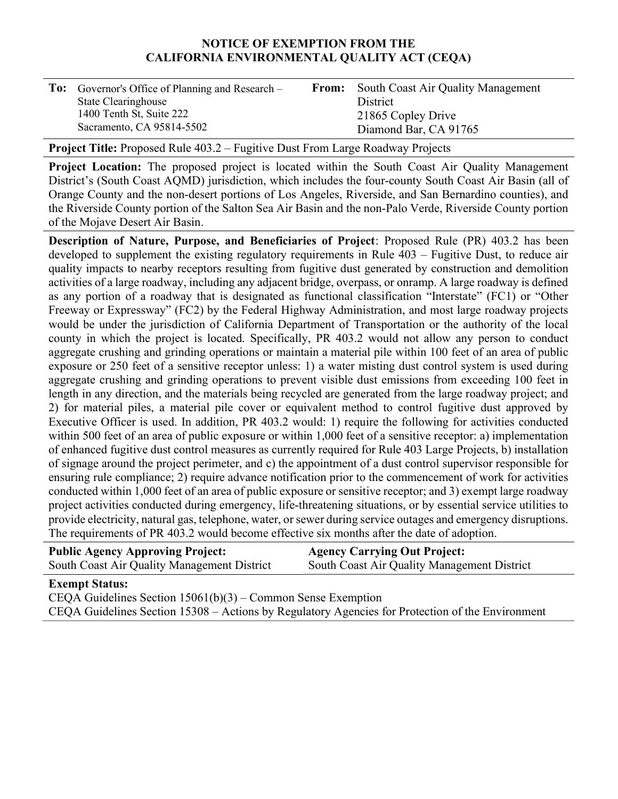## NOTICE OF EXEMPTION FROM THE CALIFORNIA ENVIRONMENTAL QUALITY ACT (CEQA)

| To:<br>Governor's Office of Planning and Research –<br>From:<br>State Clearinghouse<br>1400 Tenth St, Suite 222<br>Sacramento, CA 95814-5502 | South Coast Air Quality Management<br>District<br>21865 Copley Drive<br>Diamond Bar, CA 91765 |
|----------------------------------------------------------------------------------------------------------------------------------------------|-----------------------------------------------------------------------------------------------|
|----------------------------------------------------------------------------------------------------------------------------------------------|-----------------------------------------------------------------------------------------------|

Project Title: Proposed Rule 403.2 – Fugitive Dust From Large Roadway Projects

Project Location: The proposed project is located within the South Coast Air Quality Management District's (South Coast AQMD) jurisdiction, which includes the four-county South Coast Air Basin (all of Orange County and the non-desert portions of Los Angeles, Riverside, and San Bernardino counties), and the Riverside County portion of the Salton Sea Air Basin and the non-Palo Verde, Riverside County portion of the Mojave Desert Air Basin.

Description of Nature, Purpose, and Beneficiaries of Project: Proposed Rule (PR) 403.2 has been developed to supplement the existing regulatory requirements in Rule 403 – Fugitive Dust, to reduce air quality impacts to nearby receptors resulting from fugitive dust generated by construction and demolition activities of a large roadway, including any adjacent bridge, overpass, or onramp. A large roadway is defined as any portion of a roadway that is designated as functional classification "Interstate" (FC1) or "Other Freeway or Expressway" (FC2) by the Federal Highway Administration, and most large roadway projects would be under the jurisdiction of California Department of Transportation or the authority of the local county in which the project is located. Specifically, PR 403.2 would not allow any person to conduct aggregate crushing and grinding operations or maintain a material pile within 100 feet of an area of public exposure or 250 feet of a sensitive receptor unless: 1) a water misting dust control system is used during aggregate crushing and grinding operations to prevent visible dust emissions from exceeding 100 feet in length in any direction, and the materials being recycled are generated from the large roadway project; and 2) for material piles, a material pile cover or equivalent method to control fugitive dust approved by Executive Officer is used. In addition, PR 403.2 would: 1) require the following for activities conducted within 500 feet of an area of public exposure or within 1,000 feet of a sensitive receptor: a) implementation of enhanced fugitive dust control measures as currently required for Rule 403 Large Projects, b) installation of signage around the project perimeter, and c) the appointment of a dust control supervisor responsible for ensuring rule compliance; 2) require advance notification prior to the commencement of work for activities conducted within 1,000 feet of an area of public exposure or sensitive receptor; and 3) exempt large roadway project activities conducted during emergency, life-threatening situations, or by essential service utilities to provide electricity, natural gas, telephone, water, or sewer during service outages and emergency disruptions. The requirements of PR 403.2 would become effective six months after the date of adoption.

| <b>Public Agency Approving Project:</b>     | <b>Agency Carrying Out Project:</b>         |
|---------------------------------------------|---------------------------------------------|
| South Coast Air Quality Management District | South Coast Air Quality Management District |
|                                             |                                             |

| <b>Exempt Status:</b>                                                                            |
|--------------------------------------------------------------------------------------------------|
| CEQA Guidelines Section $15061(b)(3)$ – Common Sense Exemption                                   |
| CEQA Guidelines Section 15308 – Actions by Regulatory Agencies for Protection of the Environment |